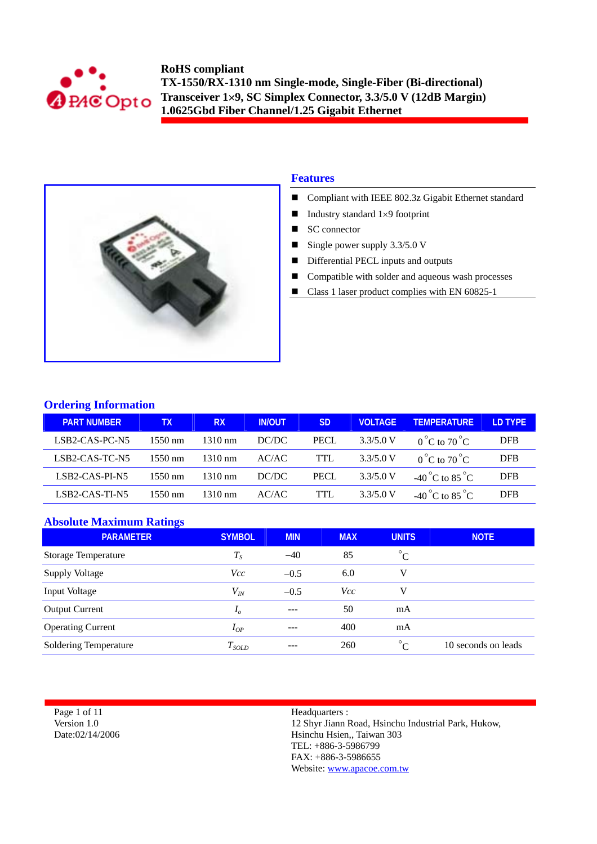



### **Features**

- Compliant with IEEE 802.3z Gigabit Ethernet standard
- Industry standard  $1\times9$  footprint
- SC connector
- Single power supply  $3.3/5.0$  V
- Differential PECL inputs and outputs
- Compatible with solder and aqueous wash processes
- Class 1 laser product complies with EN 60825-1

### **Ordering Information**

| <b>PART NUMBER</b>                      | TХ      | <b>RX</b>         | <b>IN/OUT</b> | <b>SD</b> | VOLTAGE   | <b>TEMPERATURE</b>                | LD TYPE    |
|-----------------------------------------|---------|-------------------|---------------|-----------|-----------|-----------------------------------|------------|
| LSB <sub>2</sub> -CAS-PC-N <sub>5</sub> | 1550 nm | $1310 \text{ nm}$ | DC/DC         | PECL.     | 3.3/5.0 V | $0^{\circ}$ C to $70^{\circ}$ C   | <b>DFB</b> |
| LSB2-CAS-TC-N5                          | 1550 nm | $1310 \text{ nm}$ | AC/AC         | TTL       | 3.3/5.0 V | $0^{\circ}$ C to 70 $^{\circ}$ C  | <b>DFB</b> |
| LSB2-CAS-PI-N5                          | 1550 nm | $1310 \text{ nm}$ | DC/DC         | PECL      | 3.3/5.0 V | -40 °C to 85 °C                   | <b>DFB</b> |
| LSB2-CAS-TI-N5                          | 1550 nm | $1310 \text{ nm}$ | AC/AC         | TTL.      | 3.3/5.0 V | $-40^{\circ}$ C to $85^{\circ}$ C | <b>DFB</b> |

## **Absolute Maximum Ratings**

| .<br><b>PARAMETER</b>      | <b>SYMBOL</b> | <b>MIN</b> | <b>MAX</b> | <b>UNITS</b> | <b>NOTE</b>         |
|----------------------------|---------------|------------|------------|--------------|---------------------|
| <b>Storage Temperature</b> | $T_{S}$       | $-40$      | 85         | $^{\circ}C$  |                     |
| <b>Supply Voltage</b>      | Vcc           | $-0.5$     | 6.0        | V            |                     |
| Input Voltage              | $V_{I\!N}$    | $-0.5$     | <i>Vcc</i> | v            |                     |
| <b>Output Current</b>      | $I_{\theta}$  | $---$      | 50         | mA           |                     |
| <b>Operating Current</b>   | $I_{OP}$      |            | 400        | mA           |                     |
| Soldering Temperature      | $T_{SOLD}$    | ---        | 260        | $^{\circ}C$  | 10 seconds on leads |

Page 1 of 11 Version 1.0 Date:02/14/2006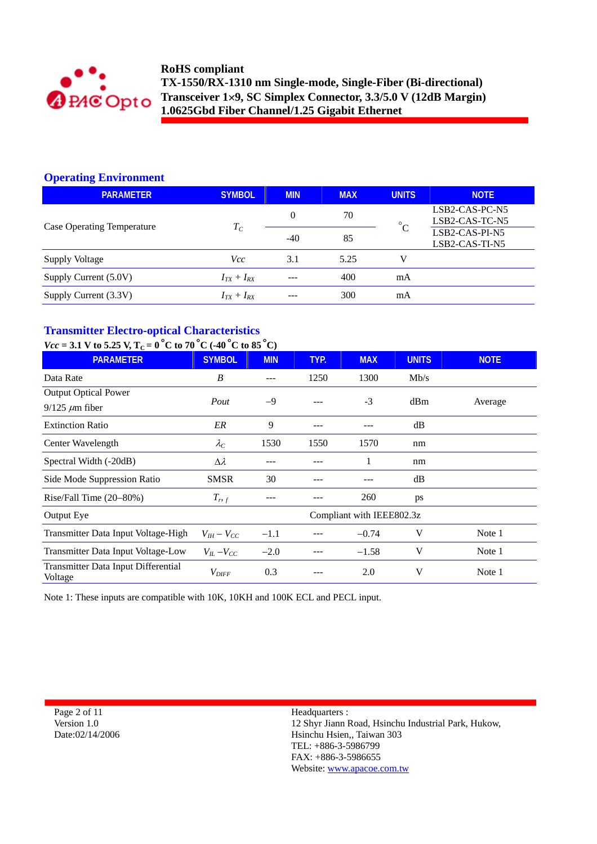

# **Operating Environment**

| <b>PARAMETER</b>                  | <b>SYMBOL</b>   | <b>MIN</b> | <b>MAX</b> | <b>UNITS</b>                          | <b>NOTE</b>                      |
|-----------------------------------|-----------------|------------|------------|---------------------------------------|----------------------------------|
|                                   |                 | $\Omega$   | 70         | $\circ$ <sup><math>\circ</math></sup> | LSB2-CAS-PC-N5<br>LSB2-CAS-TC-N5 |
| <b>Case Operating Temperature</b> | $T_C$           | $-40$      | 85         |                                       | LSB2-CAS-PI-N5<br>LSB2-CAS-TI-N5 |
| Supply Voltage                    | Vcc             | 3.1        | 5.25       | V                                     |                                  |
| Supply Current (5.0V)             | $I_{TX}+I_{RX}$ | $---$      | 400        | mA                                    |                                  |
| Supply Current (3.3V)             | $I_{TX}+I_{RX}$ | ---        | 300        | mA                                    |                                  |

# **Transmitter Electro-optical Characteristics**

# $V_{\text{tot}} = 3.1 \, \text{V}$  to 5.25 V, T<sub>C</sub> = 0<sup>o</sup> $C$  to 70<sup>o</sup> $C$  (-40<sup>o</sup> $C$  to 85<sup>o</sup> $C$ )

| $Vcc = 3.1$ V to 5.25 V, $I_C = 0$ C to 70 C (-40 C to 85 C) |                     |            |      |                           |              |             |
|--------------------------------------------------------------|---------------------|------------|------|---------------------------|--------------|-------------|
| <b>PARAMETER</b>                                             | <b>SYMBOL</b>       | <b>MIN</b> | TYP. | <b>MAX</b>                | <b>UNITS</b> | <b>NOTE</b> |
| Data Rate                                                    | B                   | ---        | 1250 | 1300                      | Mb/s         |             |
| <b>Output Optical Power</b>                                  |                     |            |      |                           |              |             |
| $9/125 \mu m$ fiber                                          | Pout<br>$-9$        |            |      | $-3$                      | dBm          | Average     |
| <b>Extinction Ratio</b>                                      | ER                  | 9          |      |                           | dB           |             |
| Center Wavelength                                            | $\lambda_C$         | 1530       | 1550 | 1570                      | nm           |             |
| Spectral Width (-20dB)                                       | $\Delta \lambda$    |            |      |                           | nm           |             |
| Side Mode Suppression Ratio                                  | <b>SMSR</b>         | 30         |      |                           | dB           |             |
| Rise/Fall Time $(20-80%)$                                    | $T_{r,f}$           | ---        |      | 260                       | ps           |             |
| Output Eye                                                   |                     |            |      | Compliant with IEEE802.3z |              |             |
| Transmitter Data Input Voltage-High                          | $V_{IH} - V_{CC}$   | $-1.1$     |      | $-0.74$                   | V            | Note 1      |
| Transmitter Data Input Voltage-Low                           | $V_{IL}$ – $V_{CC}$ | $-2.0$     |      | $-1.58$                   | V            | Note 1      |
| Transmitter Data Input Differential<br>Voltage               | $V_{\mathit{DIFF}}$ | 0.3        |      | 2.0                       | V            | Note 1      |

Note 1: These inputs are compatible with 10K, 10KH and 100K ECL and PECL input.

Page 2 of 11 Version 1.0 Date:02/14/2006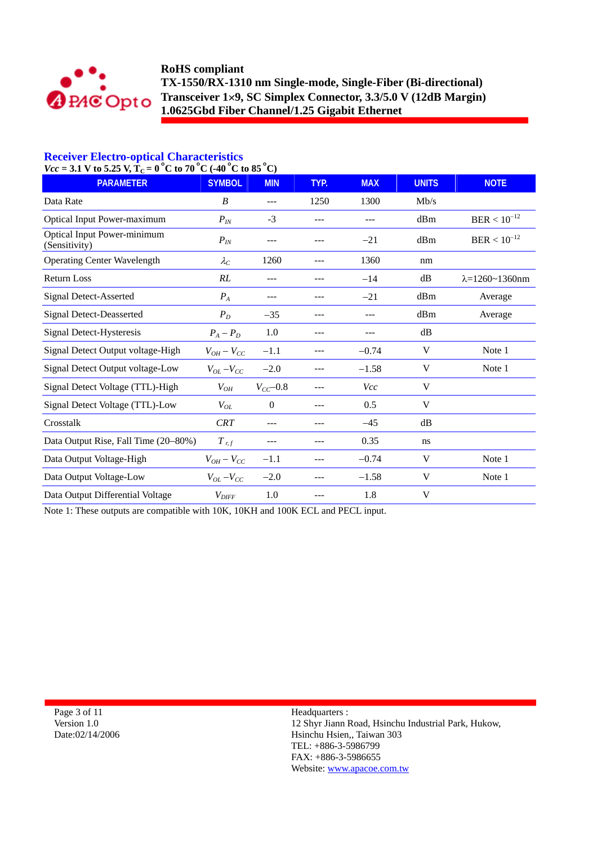

## **Receiver Electro-optical Characteristics**

 $Vcc = 3.1$  V to 5.25 V,  $T_C = 0$  °C to 70 °C (-40 °C to 85 °C)

| $-9.1$ $\sqrt{0.9.40}$ $\sqrt{10} - 0$ $\sqrt{0.00}$ $\sqrt{0.00}$<br><b>PARAMETER</b> | <b>SYMBOL</b>       | ັ<br><b>MIN</b> | TYP.    | <b>MAX</b> | <b>UNITS</b> | <b>NOTE</b>                |
|----------------------------------------------------------------------------------------|---------------------|-----------------|---------|------------|--------------|----------------------------|
| Data Rate                                                                              | B                   | $---$           | 1250    | 1300       | Mb/s         |                            |
| <b>Optical Input Power-maximum</b>                                                     | $P_{I\!N}$          | $-3$            |         | $---$      | dBm          | $BER < 10^{-12}$           |
| <b>Optical Input Power-minimum</b><br>(Sensitivity)                                    | $P_{I\!N}$          | ---             |         | $-21$      | dBm          | $BER < 10^{-12}$           |
| <b>Operating Center Wavelength</b>                                                     | $\lambda_C$         | 1260            | $---$   | 1360       | nm           |                            |
| <b>Return Loss</b>                                                                     | RL                  |                 |         | $-14$      | dB           | $\lambda = 1260 - 1360$ nm |
| <b>Signal Detect-Asserted</b>                                                          | $P_A$               | ---             |         | $-21$      | dBm          | Average                    |
| <b>Signal Detect-Deasserted</b>                                                        | $P_D$               | $-35$           | ---     | ---        | dBm          | Average                    |
| Signal Detect-Hysteresis                                                               | $P_A - P_D$         | 1.0             | $- - -$ | ---        | dB           |                            |
| Signal Detect Output voltage-High                                                      | $V_{OH}-V_{CC}$     | $-1.1$          |         | $-0.74$    | V            | Note 1                     |
| Signal Detect Output voltage-Low                                                       | $V_{OL}$ – $V_{CC}$ | $-2.0$          |         | $-1.58$    | V            | Note 1                     |
| Signal Detect Voltage (TTL)-High                                                       | $V_{OH}$            | $V_{CC}$ -0.8   |         | Vcc        | V            |                            |
| Signal Detect Voltage (TTL)-Low                                                        | $V_{OL}$            | $\overline{0}$  |         | 0.5        | V            |                            |
| Crosstalk                                                                              | <b>CRT</b>          |                 |         | $-45$      | dB           |                            |
| Data Output Rise, Fall Time (20-80%)                                                   | $T$ r, f            |                 |         | 0.35       | ns           |                            |
| Data Output Voltage-High                                                               | $V_{OH}-V_{CC}$     | $-1.1$          |         | $-0.74$    | V            | Note 1                     |
| Data Output Voltage-Low                                                                | $V_{OL} - V_{CC}$   | $-2.0$          |         | $-1.58$    | V            | Note 1                     |
| Data Output Differential Voltage                                                       | $V_{DIFF}$          | 1.0             |         | 1.8        | V            |                            |

Note 1: These outputs are compatible with 10K, 10KH and 100K ECL and PECL input.

Page 3 of 11 Version 1.0 Date:02/14/2006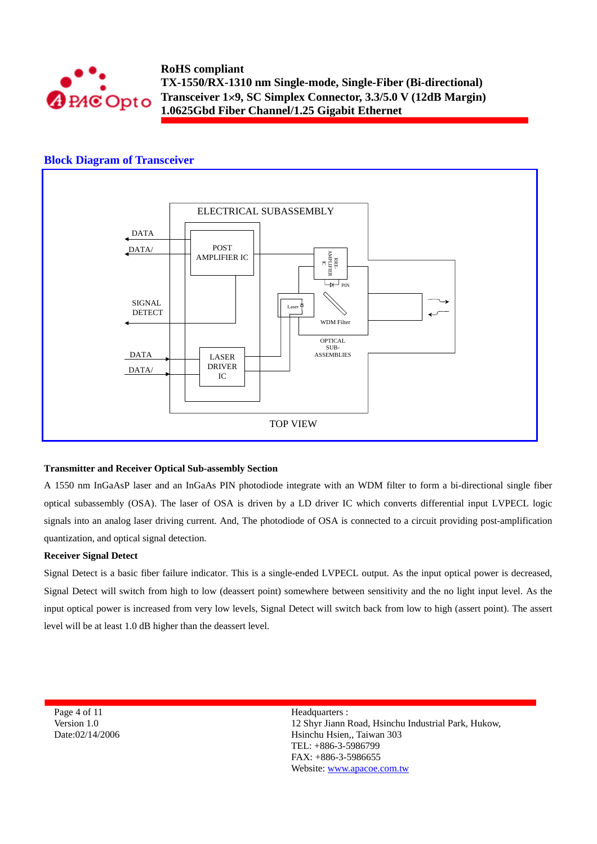

### **Block Diagram of Transceiver**



### **Transmitter and Receiver Optical Sub-assembly Section**

A 1550 nm InGaAsP laser and an InGaAs PIN photodiode integrate with an WDM filter to form a bi-directional single fiber optical subassembly (OSA). The laser of OSA is driven by a LD driver IC which converts differential input LVPECL logic signals into an analog laser driving current. And, The photodiode of OSA is connected to a circuit providing post-amplification quantization, and optical signal detection.

#### **Receiver Signal Detect**

Signal Detect is a basic fiber failure indicator. This is a single-ended LVPECL output. As the input optical power is decreased, Signal Detect will switch from high to low (deassert point) somewhere between sensitivity and the no light input level. As the input optical power is increased from very low levels, Signal Detect will switch back from low to high (assert point). The assert level will be at least 1.0 dB higher than the deassert level.

Page 4 of 11 Version 1.0 Date:02/14/2006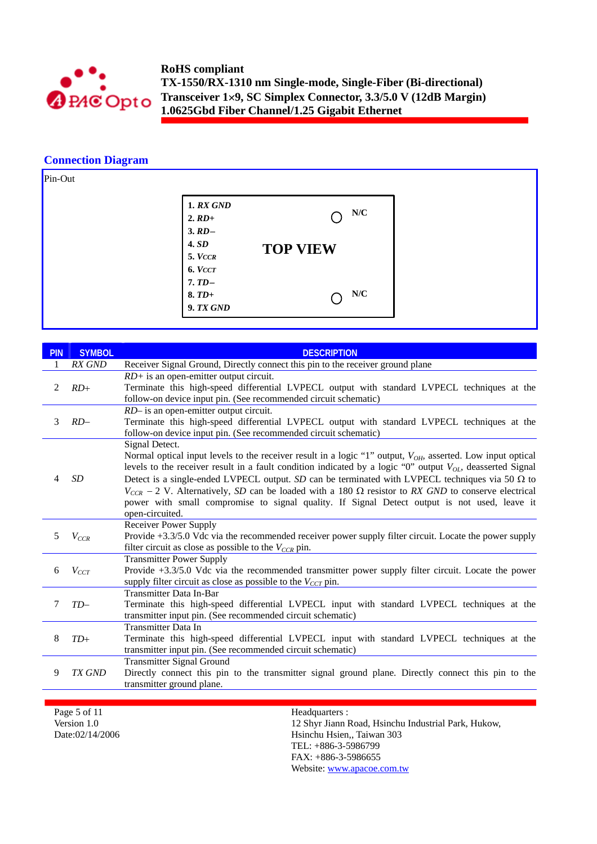![](_page_4_Picture_0.jpeg)

### **Connection Diagram**

![](_page_4_Figure_3.jpeg)

| <b>PIN</b> | <b>SYMBOL</b> | <b>DESCRIPTION</b>                                                                                                                                                                                                                                                                                                                                                                                                                                                                                                                                                                                   |
|------------|---------------|------------------------------------------------------------------------------------------------------------------------------------------------------------------------------------------------------------------------------------------------------------------------------------------------------------------------------------------------------------------------------------------------------------------------------------------------------------------------------------------------------------------------------------------------------------------------------------------------------|
|            | RX GND        | Receiver Signal Ground, Directly connect this pin to the receiver ground plane                                                                                                                                                                                                                                                                                                                                                                                                                                                                                                                       |
| 2          | $RD+$         | $RD$ + is an open-emitter output circuit.<br>Terminate this high-speed differential LVPECL output with standard LVPECL techniques at the<br>follow-on device input pin. (See recommended circuit schematic)                                                                                                                                                                                                                                                                                                                                                                                          |
| 3          | $RD-$         | RD- is an open-emitter output circuit.<br>Terminate this high-speed differential LVPECL output with standard LVPECL techniques at the<br>follow-on device input pin. (See recommended circuit schematic)                                                                                                                                                                                                                                                                                                                                                                                             |
| 4          | <b>SD</b>     | Signal Detect.<br>Normal optical input levels to the receiver result in a logic "1" output, $V_{OH}$ , asserted. Low input optical<br>levels to the receiver result in a fault condition indicated by a logic "0" output $V_{OL}$ , deasserted Signal<br>Detect is a single-ended LVPECL output. SD can be terminated with LVPECL techniques via 50 $\Omega$ to<br>$V_{CCR}$ – 2 V. Alternatively, SD can be loaded with a 180 $\Omega$ resistor to RX GND to conserve electrical<br>power with small compromise to signal quality. If Signal Detect output is not used, leave it<br>open-circuited. |
| 5          | $V_{CCR}$     | <b>Receiver Power Supply</b><br>Provide +3.3/5.0 Vdc via the recommended receiver power supply filter circuit. Locate the power supply<br>filter circuit as close as possible to the $V_{CCR}$ pin.                                                                                                                                                                                                                                                                                                                                                                                                  |
| 6          | $V_{CCT}$     | <b>Transmitter Power Supply</b><br>Provide +3.3/5.0 Vdc via the recommended transmitter power supply filter circuit. Locate the power<br>supply filter circuit as close as possible to the $V_{CCT}$ pin.                                                                                                                                                                                                                                                                                                                                                                                            |
| 7          | $TD-$         | Transmitter Data In-Bar<br>Terminate this high-speed differential LVPECL input with standard LVPECL techniques at the<br>transmitter input pin. (See recommended circuit schematic)                                                                                                                                                                                                                                                                                                                                                                                                                  |
| 8          | $TD+$         | <b>Transmitter Data In</b><br>Terminate this high-speed differential LVPECL input with standard LVPECL techniques at the<br>transmitter input pin. (See recommended circuit schematic)                                                                                                                                                                                                                                                                                                                                                                                                               |
| 9          | TX GND        | <b>Transmitter Signal Ground</b><br>Directly connect this pin to the transmitter signal ground plane. Directly connect this pin to the<br>transmitter ground plane.                                                                                                                                                                                                                                                                                                                                                                                                                                  |

Page 5 of 11 Version 1.0 Date:02/14/2006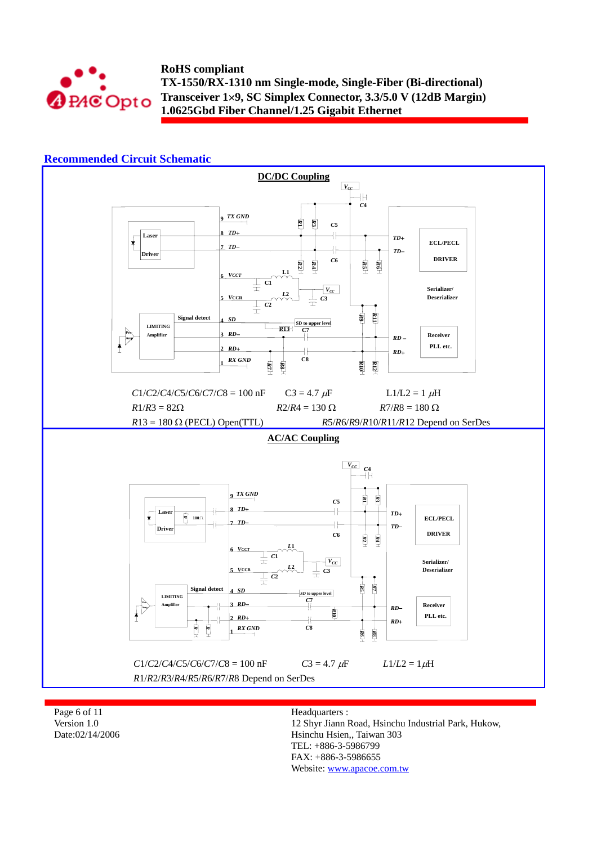![](_page_5_Picture_0.jpeg)

### **Recommended Circuit Schematic**

![](_page_5_Figure_3.jpeg)

Page 6 of 11 Version 1.0 Date:02/14/2006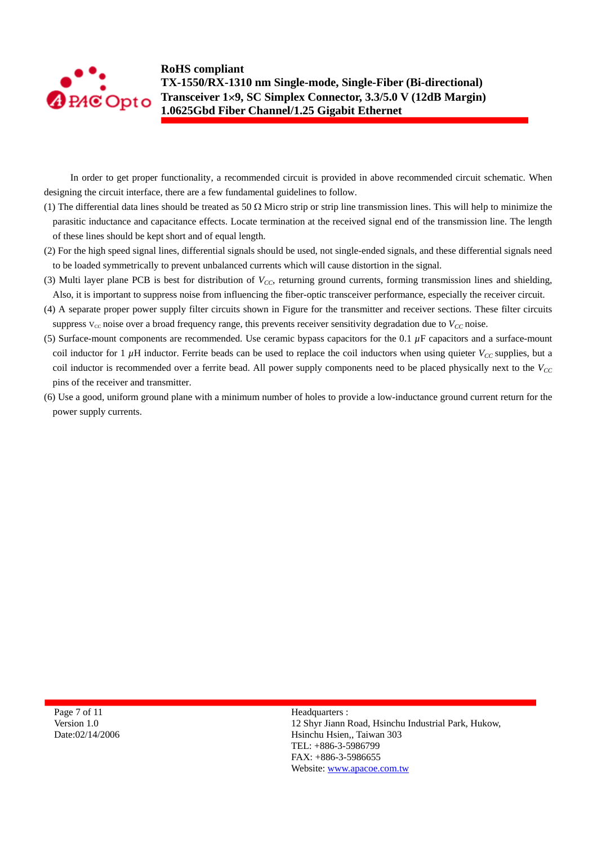![](_page_6_Picture_0.jpeg)

In order to get proper functionality, a recommended circuit is provided in above recommended circuit schematic. When designing the circuit interface, there are a few fundamental guidelines to follow.

- (1) The differential data lines should be treated as 50  $\Omega$  Micro strip or strip line transmission lines. This will help to minimize the parasitic inductance and capacitance effects. Locate termination at the received signal end of the transmission line. The length of these lines should be kept short and of equal length.
- (2) For the high speed signal lines, differential signals should be used, not single-ended signals, and these differential signals need to be loaded symmetrically to prevent unbalanced currents which will cause distortion in the signal.
- (3) Multi layer plane PCB is best for distribution of  $V_{CC}$ , returning ground currents, forming transmission lines and shielding, Also, it is important to suppress noise from influencing the fiber-optic transceiver performance, especially the receiver circuit.
- (4) A separate proper power supply filter circuits shown in Figure for the transmitter and receiver sections. These filter circuits suppress  $V_{cc}$  noise over a broad frequency range, this prevents receiver sensitivity degradation due to  $V_{cc}$  noise.
- (5) Surface-mount components are recommended. Use ceramic bypass capacitors for the 0.1 *µ*F capacitors and a surface-mount coil inductor for 1  $\mu$ H inductor. Ferrite beads can be used to replace the coil inductors when using quieter  $V_{CC}$  supplies, but a coil inductor is recommended over a ferrite bead. All power supply components need to be placed physically next to the  $V_{CC}$ pins of the receiver and transmitter.
- (6) Use a good, uniform ground plane with a minimum number of holes to provide a low-inductance ground current return for the power supply currents.

Page 7 of 11 Version 1.0 Date:02/14/2006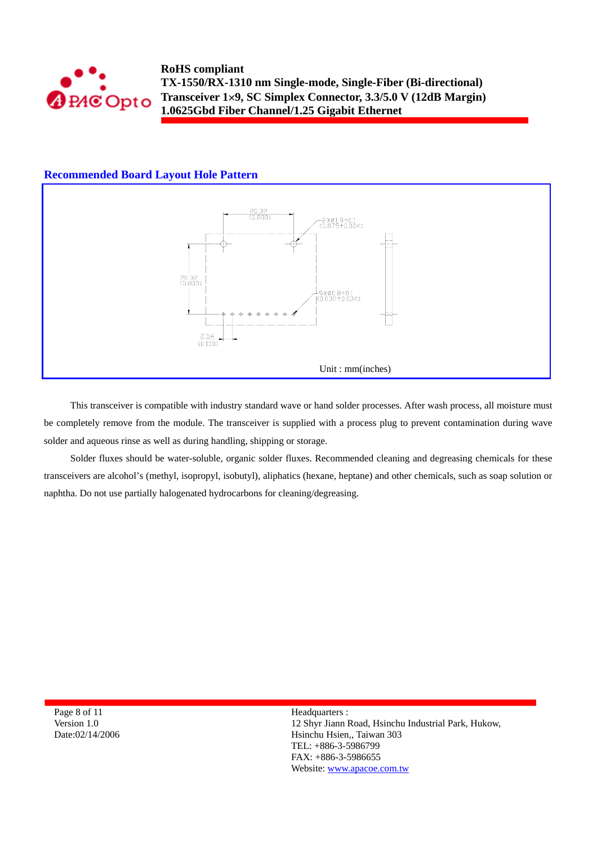![](_page_7_Picture_0.jpeg)

### **Recommended Board Layout Hole Pattern**

![](_page_7_Figure_3.jpeg)

This transceiver is compatible with industry standard wave or hand solder processes. After wash process, all moisture must be completely remove from the module. The transceiver is supplied with a process plug to prevent contamination during wave solder and aqueous rinse as well as during handling, shipping or storage.

Solder fluxes should be water-soluble, organic solder fluxes. Recommended cleaning and degreasing chemicals for these transceivers are alcohol's (methyl, isopropyl, isobutyl), aliphatics (hexane, heptane) and other chemicals, such as soap solution or naphtha. Do not use partially halogenated hydrocarbons for cleaning/degreasing.

Page 8 of 11 Version 1.0 Date:02/14/2006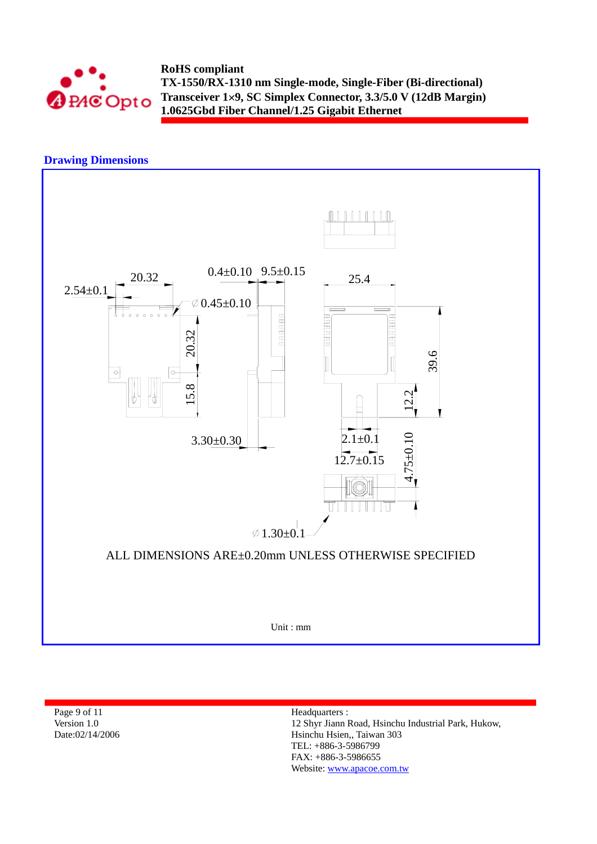![](_page_8_Picture_0.jpeg)

## **Drawing Dimensions**

![](_page_8_Figure_3.jpeg)

Page 9 of 11 Version 1.0 Date:02/14/2006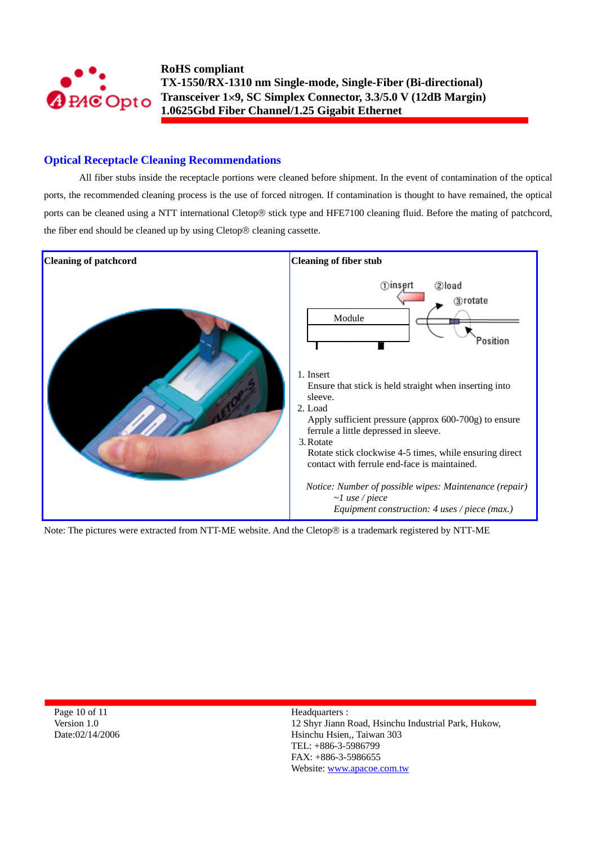![](_page_9_Picture_0.jpeg)

### **Optical Receptacle Cleaning Recommendations**

All fiber stubs inside the receptacle portions were cleaned before shipment. In the event of contamination of the optical ports, the recommended cleaning process is the use of forced nitrogen. If contamination is thought to have remained, the optical ports can be cleaned using a NTT international Cletop® stick type and HFE7100 cleaning fluid. Before the mating of patchcord, the fiber end should be cleaned up by using Cletop® cleaning cassette.

![](_page_9_Figure_4.jpeg)

Note: The pictures were extracted from NTT-ME website. And the Cletop® is a trademark registered by NTT-ME

Page 10 of 11 Version 1.0 Date:02/14/2006